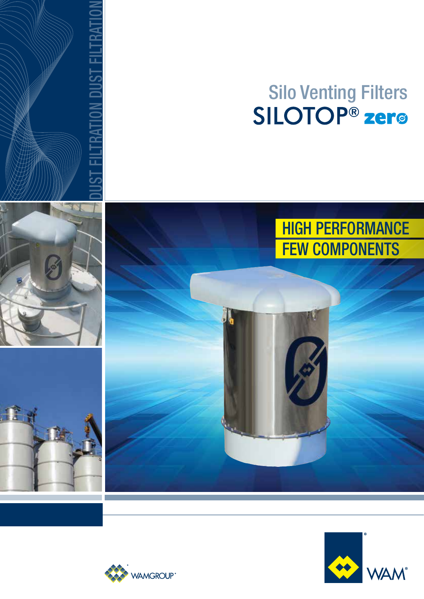# Silo Venting Filters<br>SILOTOP<sup>®</sup> zer©





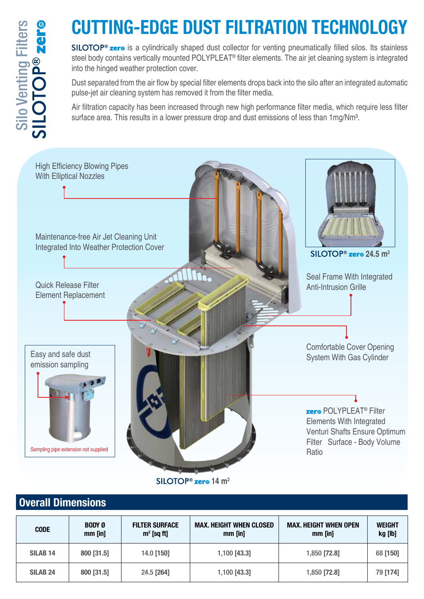## CUTTING-EDGE dust filtration technology

SILOTOP<sup>®</sup> zer<sup>®</sup> is a cylindrically shaped dust collector for venting pneumatically filled silos. Its stainless steel body contains vertically mounted POLYPLEAT<sup>®</sup> filter elements. The air jet cleaning system is integrated into the hinged weather protection cover.

Dust separated from the air flow by special filter elements drops back into the silo after an integrated automatic pulse-jet air cleaning system has removed it from the filter media.

Air filtration capacity has been increased through new high performance filter media, which require less filter surface area. This results in a lower pressure drop and dust emissions of less than 1mg/Nm<sup>3</sup>.



#### Overall Dimensions

| <b>CODE</b>         | <b>BODY Ø</b><br>$mm$ [in] | <b>FILTER SURFACE</b><br>$m2$ [sq ft] | <b>MAX. HEIGHT WHEN CLOSED</b><br>$mm$ [in] | <b>MAX. HEIGHT WHEN OPEN</b><br>$mm$ [in] | <b>WEIGHT</b><br>kg [lb] |
|---------------------|----------------------------|---------------------------------------|---------------------------------------------|-------------------------------------------|--------------------------|
| SILAB <sub>14</sub> | 800 [31.5]                 | 14.0 [150]                            | 1,100 [43.3]                                | 1,850 [72.8]                              | 68 [150]                 |
| <b>SILAB 24</b>     | 800 [31.5]                 | 24.5 [264]                            | 1,100 [43.3]                                | 1,850 [72.8]                              | 79 [174]                 |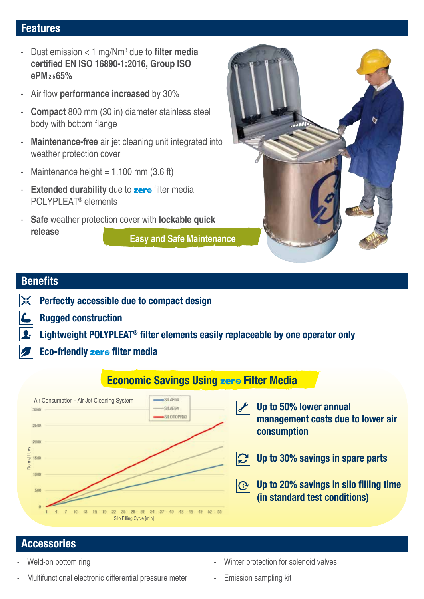#### Features

- Dust emission < 1 mg/Nm<sup>3</sup> due to **filter media certified EN ISO 16890-1:2016, Group ISO ePM2.565%**
- Air flow **performance increased** by 30%
- **Compact** 800 mm (30 in) diameter stainless steel body with bottom flange
- **Maintenance-free** air jet cleaning unit integrated into weather protection cover
- Maintenance height  $= 1,100$  mm (3.6 ft)
- **Extended durability** due to **zer**<sup>®</sup> filter media POLYPLEAT® elements
- **Safe** weather protection cover with **lockable quick release Easy and Safe Maintenance**



#### **Benefits**

 $\mathscr{L}$ 

- **XK** Perfectly accessible due to compact design
- L Rugged construction

Lightweight POLYPLEAT® filter elements easily replaceable by one operator only 受。

Eco-friendly zer<sup>®</sup> filter media



#### **Accessories**

- Weld-on bottom ring
- Multifunctional electronic differential pressure meter
- Winter protection for solenoid valves
- Emission sampling kit